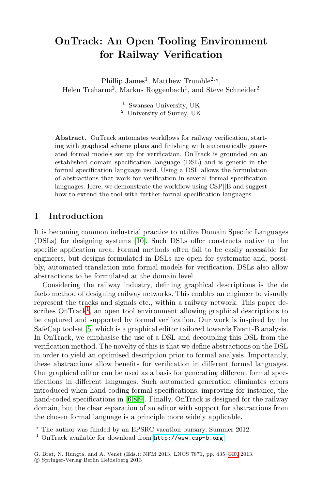# **OnTrack: An Open Tooling Environment for Railway Verification**

Phillip James<sup>1</sup>, Matthew Trumble<sup>2,\*</sup>, Helen Treharne<sup>2</sup>, Markus Roggenbach<sup>1</sup>, and Steve Schneider<sup>2</sup>

> <sup>1</sup> Swansea University, UK <sup>2</sup> University of Surrey, UK

**Abstract.** OnTrack automates workflows for railway verification, starting with graphical scheme plans and finishing with automatically generated formal models set up for verification. OnTrack is grounded on an established domain specification language (DSL) and is generic in the formal [spec](#page-5-0)ification language used. Using a DSL allows the formulation of abstractions that work for verification in several formal specification languages. Here, we demonstrate the workflow using CSP||B and suggest how to extend the tool with further formal specification languages.

#### **1 Introduction**

It is becoming common industrial practice to utilize Domain Specific Languages (DSLs) for designing systems [10]. Such DSLs offer constructs native to the specific application area. Formal methods often fail to be easily accessible for [e](#page-5-1)ngineers, but designs formulated in DSLs are open for systematic and, possibly, automated translation into formal models for verification. DSLs also allow abstractions to be formulated at the domain level.

Considering the railway industry, defining graphical descriptions is the de facto method of designing railway networks. This enables an engineer to visually represent the tracks and signals etc., within a railway network. This paper describes  $OnTrack<sup>1</sup>$ , an open tool environment allowing graphical descriptions to be captured and supported by formal verification. Our work is inspired by the SafeCap to[ol](#page-5-2)[se](#page-5-3)[t \[](#page-5-4)5] which is a graphical editor tailored towards Event-B analysis. In OnTrack, we emphasise the use of a DSL and decoupling this DSL from the verification method. The novelty of this is that we define abstractions on the DSL in order to yield an optimised description prior to formal analysis. Importantly, these abstractions allow benefits for verification in different formal languages. Our graphical edit[or can be used as a basi](http://www.csp-b.org)s for generating different formal specifications in different languages. Such automated generation eliminates errors introduced when hand-coding formal speci[ficat](#page-5-5)ions, improving for instance, the hand-coded specifications in [6,8,9]. Finally, OnTrack is designed for the railway domain, but the clear separation of an editor with support for abstractions from the chosen formal language is a principle more widely applicable.

<sup>-</sup> The author was funded by an EPSRC vacation bursary, Summer 2012.

<sup>1</sup> OnTrack available for download from http://www.csp-b.org

G. Brat, N. Rungta, and A. Venet (Eds.): NFM 2013, LNCS 7871, pp. 435–440, 2013. -c Springer-Verlag Berlin Heidelberg 2013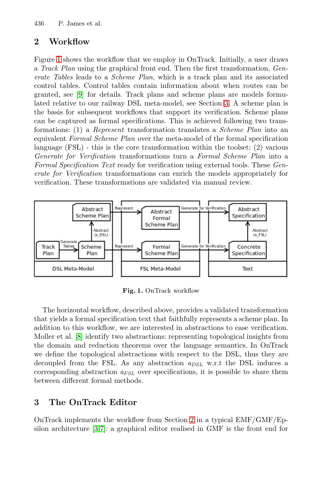<span id="page-1-0"></span>436 P. James et al.

#### **2 Workflow**

Figure 1 shows the workflow that we employ in OnTrack. Initially, a user draws <sup>a</sup> *Track Plan* using the graphical front end. Then the first transformation, *Generate Tables* leads to a *Scheme Plan*, which is a track plan and its associated control tables. Control tables contain information about when routes can be granted, see [9] for details. Track plans and scheme plans are models formulated relative to our railway DSL meta-model, see Section 3. A scheme plan is the basis for subsequent workflows that support its verification. Scheme plans can be captured as formal specifications. This is achieved following two transformations: (1) a *Represent* transformation translates a *Scheme Plan* into an equivalent *Formal Scheme Plan* over the meta-model of the formal specification language  $(FSL)$  - this is the core transformation within the toolset; (2) various *Generate for Verification* transformations turn a *Formal Scheme Plan* into a *Formal Specification Text* ready for verification using external tools. These *Generate for Verification* transformations can enrich the models appropriately for verification. These transformations are validated via manual review.



<span id="page-1-1"></span>**Fig. 1.** OnTrack workflow

The horizontal workflow, described above, provides a validated transformation that yields a formal specification text that faithfully represents a scheme plan. In addition to this workflow, we are interested in abstractions to ease verification. Moller et al. [8] identify two abstractions: representing topological insights from the domain and reduction theorems over the language semantics. In OnTrack we define the topological abst[ra](#page-1-0)ctions with respect to the DSL, thus they are [de](#page-5-6)[co](#page-5-7)upled from the FSL. As any abstraction  $a_{DSL}$  w.r.t the DSL induces a corresponding abstraction  $a_{FSL}$  over specifications, it is possible to share them between different formal methods.

#### **3 The OnTrack Editor**

OnTrack implements the workflow from Section 2 in a typical EMF/GMF/Epsilon architecture [3,7]: a graphical editor realised in GMF is the front end for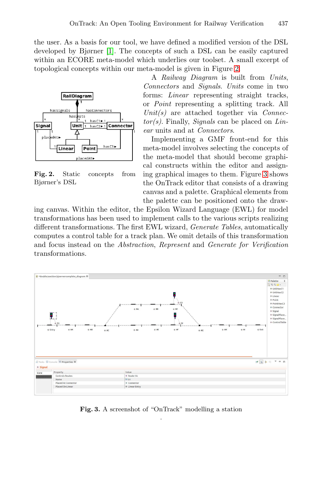the user. As a basis for our tool, we have defined a modified version of the DSL developed by Bjørner [1]. The concepts of such a DSL can be easily captured within an ECORE meta-model which underlies our toolset. A small excerpt of topological concepts within our meta-model is given in Figure 2.



**Fig. 2.** Static concepts from Bjørner's DSL

<span id="page-2-1"></span><sup>A</sup> *Railway Diagram* is built from *Units*, *Connectors* and *Signals*. *Units* come in two forms: *Linear* representing straight tracks, or *Point* represent[ing](#page-2-0) a splitting track. All *Unit(s)* are attached together via *Connector(s)*. Finally, *Signals* can be placed on *Linear* units and at *Connectors*.

<span id="page-2-0"></span>Implementing a GMF front-end for this meta-model involves selecting the concepts of the meta-model that should become graphical constructs within the editor and assigning graphical images to them. Figure 3 shows the OnTrack editor that consists of a drawing canvas and a palette. Graphical elements from the palette can be positioned onto the draw-

ing canvas. Within the editor, the Epsilon Wizard Language (EWL) for model transformations has been used to implement calls to the various scripts realizing different transformations. The first EWL wizard, *Generate Tables*, automatically computes a control table for a track plan. We omit details of this transformation and focus instead on the *Abstraction*, *Represent* and *Generate for Verification* transformations.



**Fig. 3.** A screenshot of "OnTrack" modelling a station .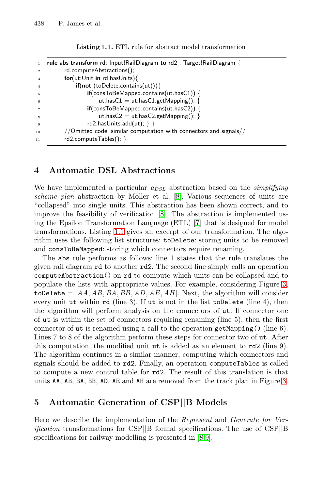438 P. James et al.

**Listing 1.1.** ETL rule for abstract model transformation

|                | rule abs transform rd: Input!RailDiagram to rd2 : Target!RailDiagram {          |
|----------------|---------------------------------------------------------------------------------|
| $\overline{2}$ | rd.computeAbstractions();                                                       |
| 3              | for (ut:Unit in rd.has Units)                                                   |
| $\overline{4}$ | $\mathbf{if}(\mathbf{not}(\mathsf{toDelete}.\mathsf{contains}(\mathsf{ut})))\}$ |
| 5              | $if$ (consToBeMapped.contains(ut.hasC1)) {                                      |
| 6              | ut.has $C1 =$ ut.has $C1$ .getMapping(); }                                      |
|                | $if$ (consToBeMapped.contains(ut.hasC2)) {                                      |
| 8              | ut.has $C2 =$ ut.has $C2$ .getMapping(); }                                      |
| 9              | $rd2.$ hasUnits.add $(ut)$ ; } }                                                |
| 10             | //Omitted code: similar computation with connectors and signals//               |
| 11             | $rd2$ .computeTables(); }                                                       |
|                |                                                                                 |

#### **4 A[uto](#page-1-1)matic DSL Abstractions**

We have implemented a particular  $a_{DSL}$  abstraction based on the *simplifying scheme plan* abstraction by Moller et al. [8]. Various sequences of units are "collapsed" into single units. This abstraction has been shown correct, and to improve the feasibility of verification [8]. The abstraction [is](#page-2-0) implemented using the Epsilon Transformation Language (ETL) [7] that is designed for model transformations. Listing 1.1 gives an excerpt of our transformation. The algorithm uses the following list structures: toDelete: storing units to be removed and consToBeMapped: storing which connectors require renaming.

The abs rule performs as follows: line 1 states that the rule translates the given rail diagram rd to another rd2. The second line simply calls an operation computeAbstraction() on rd to compute which units can be collapsed and to populate the lists with appropriate values. For example, considering Figure 3,  $\text{toDelete} = [AA, AB, BA, BB, AD, AE, AH]$ . Next, the algorithm will consider every unit ut within rd (line 3). If ut is not in the list toDelete (line 4), then the algorithm will perform analysis on the connectors of [ut](#page-2-0). If connector one of ut is within the set of connectors requiring renaming (line 5), then the first connector of ut is renamed using a call to the operation getMapping() (line 6). Lines 7 to 8 of the algorithm perform these steps for connector two of ut. After this computation, the modified unit ut is added as an element to rd2 (line 9). The algorithm continues in a similar manner, computing which connectors and signals should be added to rd2. Finally, an operation computeTables is called to compute a new control table [fo](#page-5-3)[r](#page-5-4) rd2. The result of this translation is that units AA, AB, BA, BB, AD, AE and AH are removed from the track plan in Figure 3.

## **5 Automatic Generation of CSP***||***B Models**

Here we describe the implementation of the *Represent* and *Generate for Verification* transformations for CSP*||*B formal specifications. The use of CSP*||*<sup>B</sup> specifications for railway modelling is presented in  $[8,9]$ .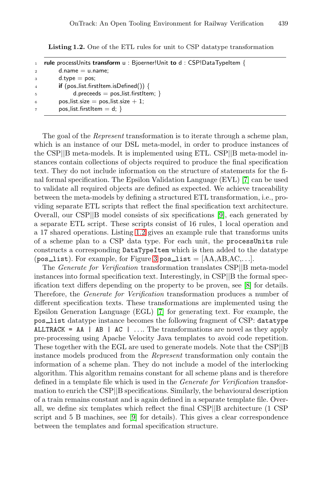**Listing 1.2.** One of the ETL rules for unit to CSP datatype transformation

| $\mathbf{1}$   | <b>rule</b> processUnits transform $u : Bjoerner!Unit$ to $d : CSP!DataTypeItem \{$ |
|----------------|-------------------------------------------------------------------------------------|
| $\overline{2}$ | $d.name = u.name$                                                                   |
| 3              | $d.type = pos;$                                                                     |
| $\overline{4}$ | if $(pos_list.firstItem.isDefined())$ {                                             |
| $\overline{5}$ | d preceeds $=$ pos_list firstltem; $\}$                                             |
| 6              | pos_list.size = pos_list.size $+1$ ;                                                |
| $\overline{7}$ | pos_list.firstItem = $d$ ; }                                                        |

The goal of the *Represent* transformation is to iterate through a scheme plan, which is an instance of our DSL meta-[m](#page-5-4)odel, in order to produce instances of the CSP*||*B meta-models. It is implemented using ETL. CSP*||*B meta-model instances conta[in co](#page-2-1)llections of objects required to produce the final specification text. They do not include information on the structure of statements for the final formal specification. The Epsilon Validation Language (EVL) [7] can be used to validate all requ[ire](#page-2-0)d objects are defined as expected. We achieve traceability between the meta-models by defining a structured ETL transformation, i.e., providing separate ETL scripts that reflect the final specification text architecture. Overall, our CSP*||*B model consists of six speci[fic](#page-5-3)ations [9], each generated by a separate ETL script. These scripts consist of 16 rules, 1 local operation and a 17 shared operations. Listing 1.2 gives an example rule that transforms units of a scheme plan to [a](#page-5-7) CSP data type. For each unit, the processUnits rule constructs a corresponding DataTypeItem which is then added to the datatype  $(pos\_list)$ . For example, for Figure 3  $pos\_list = [AA, AB, AC,...]$ .

The *Generate for Verification* transformation translates CSP*||*B meta-model instances into formal specification text. Interestingly, in CSP*||*B the formal specification text differs depending on the property to be proven, see [8] for details. Therefore, the *Generate for Verification* transformation produces a number of different specification texts. These transformations are implemented using the Epsilon Generation Language (EGL) [7] for generating text. For example, the pos list datatype instance becomes the following fragment of CSP: datatype ALLTRACK = AA | AB | AC | *...*. The transformations are novel as they apply pre-processing using Apache Velocity Java templates to avoid code repetition. These toget[her](#page-5-4) with the EGL are used to generate models. Note that the CSP*||*B instance models produced from the *Represent* transformation only contain the information of a scheme plan. They do not include a model of the interlocking algorithm. This algorithm remains constant for all scheme plans and is therefore defined in a template file which is used in the *Generate for Verification* transformation to enrich the CSP*||*B specifications. Similarly, the behavioural description of a train remains constant and is again defined in a separate template file. Overall, we define six templates which reflect the final CSP*||*B architecture (1 CSP script and 5 B machines, see [9] for details). This gives a clear correspondence between the templates and formal specification structure.